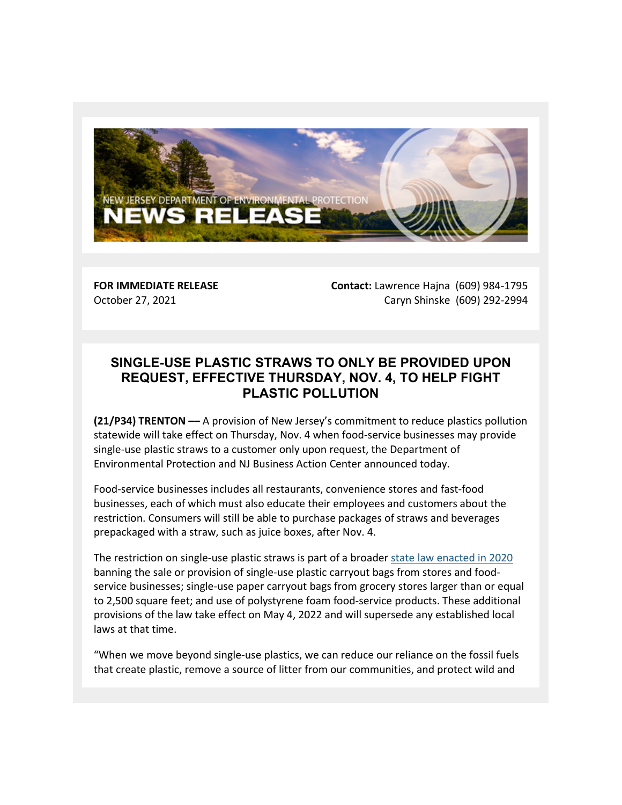

**FOR IMMEDIATE RELEASE** October 27, 2021

**Contact:** Lawrence Hajna (609) 984-1795 Caryn Shinske (609) 292-2994

## **SINGLE-USE PLASTIC STRAWS TO ONLY BE PROVIDED UPON REQUEST, EFFECTIVE THURSDAY, NOV. 4, TO HELP FIGHT PLASTIC POLLUTION**

**(21/P34) TRENTON ––** A provision of New Jersey's commitment to reduce plastics pollution statewide will take effect on Thursday, Nov. 4 when food-service businesses may provide single-use plastic straws to a customer only upon request, the Department of Environmental Protection and NJ Business Action Center announced today.

Food-service businesses includes all restaurants, convenience stores and fast-food businesses, each of which must also educate their employees and customers about the restriction. Consumers will still be able to purchase packages of straws and beverages prepackaged with a straw, such as juice boxes, after Nov. 4.

The restriction on single-use plastic straws is part of a broader [state law enacted in 2020](https://lnks.gd/l/eyJhbGciOiJIUzI1NiJ9.eyJidWxsZXRpbl9saW5rX2lkIjoxMDAsInVyaSI6ImJwMjpjbGljayIsImJ1bGxldGluX2lkIjoiMjAyMTEwMjcuNDc5OTE4NjEiLCJ1cmwiOiJodHRwczovL3d3dy5uamxlZy5zdGF0ZS5uai51cy8yMDIwL0JpbGxzL1BMMjAvMTE3Xy5IVE0_dXRtX21lZGl1bT1lbWFpbCZ1dG1fc291cmNlPWdvdmRlbGl2ZXJ5In0.WE50fdy-emzEDwZ0mYjxAIBupNM5er-aj8t0DPx7vZo/s/1519523394/br/114758264198-l) banning the sale or provision of single-use plastic carryout bags from stores and foodservice businesses; single-use paper carryout bags from grocery stores larger than or equal to 2,500 square feet; and use of polystyrene foam food-service products. These additional provisions of the law take effect on May 4, 2022 and will supersede any established local laws at that time.

"When we move beyond single-use plastics, we can reduce our reliance on the fossil fuels that create plastic, remove a source of litter from our communities, and protect wild and